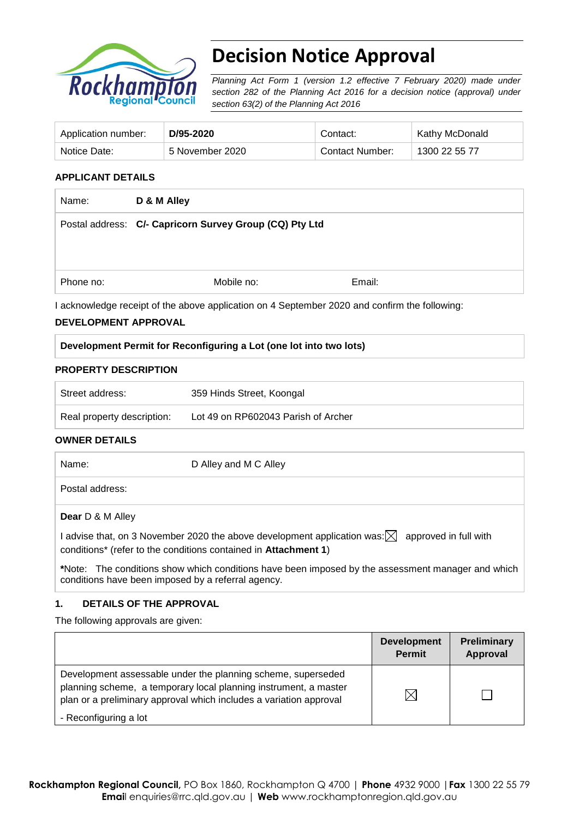

# **Decision Notice Approval**

*Planning Act Form 1 (version 1.2 effective 7 February 2020) made under section 282 of the Planning Act 2016 for a decision notice (approval) under section 63(2) of the Planning Act 2016*

| Application number: | D/95-2020       | Contact:        | <b>Kathy McDonald</b> |
|---------------------|-----------------|-----------------|-----------------------|
| Notice Date:        | 5 November 2020 | Contact Number: | 1300 22 55 77         |

## **APPLICANT DETAILS**

| Name:     | D & M Alley                                             |        |  |
|-----------|---------------------------------------------------------|--------|--|
|           | Postal address: C/- Capricorn Survey Group (CQ) Pty Ltd |        |  |
|           |                                                         |        |  |
|           |                                                         |        |  |
| Phone no: | Mobile no:                                              | Email: |  |

#### **DEVELOPMENT APPROVAL**

|  | Development Permit for Reconfiguring a Lot (one lot into two lots) |  |  |
|--|--------------------------------------------------------------------|--|--|
|  |                                                                    |  |  |

#### **PROPERTY DESCRIPTION**

| Street address:            | 359 Hinds Street, Koongal           |
|----------------------------|-------------------------------------|
| Real property description: | Lot 49 on RP602043 Parish of Archer |

#### **OWNER DETAILS**

| Name:                   | D Alley and M C Alley                                                                                                                                                                  |
|-------------------------|----------------------------------------------------------------------------------------------------------------------------------------------------------------------------------------|
| Postal address:         |                                                                                                                                                                                        |
| <b>Dear</b> D & M Alley |                                                                                                                                                                                        |
|                         | I advise that, on 3 November 2020 the above development application was: $\boxtimes~$ approved in full with<br>conditions* (refer to the conditions contained in <b>Attachment 1</b> ) |
|                         | *Note: The conditions show which conditions have been imposed by the assessment manager and which<br>conditions have been imposed by a referral agency.                                |

### **1. DETAILS OF THE APPROVAL**

The following approvals are given:

|                                                                                                                                                                                                        | <b>Development</b><br><b>Permit</b> | <b>Preliminary</b><br><b>Approval</b> |
|--------------------------------------------------------------------------------------------------------------------------------------------------------------------------------------------------------|-------------------------------------|---------------------------------------|
| Development assessable under the planning scheme, superseded<br>planning scheme, a temporary local planning instrument, a master<br>plan or a preliminary approval which includes a variation approval | $\times$                            |                                       |
| - Reconfiguring a lot                                                                                                                                                                                  |                                     |                                       |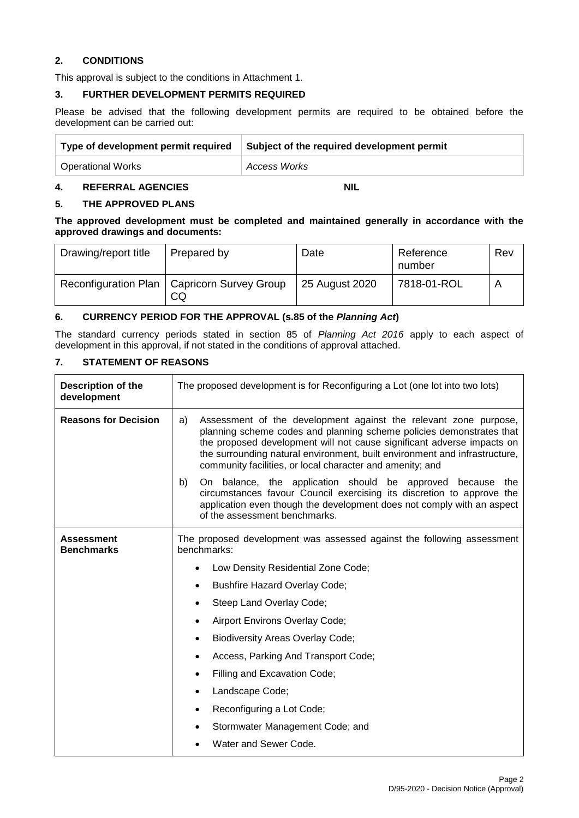## **2. CONDITIONS**

This approval is subject to the conditions in Attachment 1.

#### **3. FURTHER DEVELOPMENT PERMITS REQUIRED**

Please be advised that the following development permits are required to be obtained before the development can be carried out:

| Type of development permit required | Subject of the required development permit |
|-------------------------------------|--------------------------------------------|
| <b>Operational Works</b>            | <b>Access Works</b>                        |

## **4. REFERRAL AGENCIES NIL**

### **5. THE APPROVED PLANS**

**The approved development must be completed and maintained generally in accordance with the approved drawings and documents:**

| Drawing/report title | Prepared by                                         | Date           | Reference<br>number | Rev |
|----------------------|-----------------------------------------------------|----------------|---------------------|-----|
|                      | Reconfiguration Plan   Capricorn Survey Group<br>CQ | 25 August 2020 | 7818-01-ROL         |     |

### **6. CURRENCY PERIOD FOR THE APPROVAL (s.85 of the** *Planning Act***)**

The standard currency periods stated in section 85 of *Planning Act 2016* apply to each aspect of development in this approval, if not stated in the conditions of approval attached.

## **7. STATEMENT OF REASONS**

| Description of the<br>development | The proposed development is for Reconfiguring a Lot (one lot into two lots)                                                                                                                                                                                                                                                                                         |  |
|-----------------------------------|---------------------------------------------------------------------------------------------------------------------------------------------------------------------------------------------------------------------------------------------------------------------------------------------------------------------------------------------------------------------|--|
| <b>Reasons for Decision</b>       | Assessment of the development against the relevant zone purpose,<br>a)<br>planning scheme codes and planning scheme policies demonstrates that<br>the proposed development will not cause significant adverse impacts on<br>the surrounding natural environment, built environment and infrastructure,<br>community facilities, or local character and amenity; and |  |
|                                   | b)<br>On balance, the application should be approved because the<br>circumstances favour Council exercising its discretion to approve the<br>application even though the development does not comply with an aspect<br>of the assessment benchmarks.                                                                                                                |  |
| Assessment<br><b>Benchmarks</b>   | The proposed development was assessed against the following assessment<br>benchmarks:                                                                                                                                                                                                                                                                               |  |
|                                   | Low Density Residential Zone Code;                                                                                                                                                                                                                                                                                                                                  |  |
|                                   | <b>Bushfire Hazard Overlay Code;</b>                                                                                                                                                                                                                                                                                                                                |  |
|                                   | Steep Land Overlay Code;<br>٠                                                                                                                                                                                                                                                                                                                                       |  |
|                                   | Airport Environs Overlay Code;<br>$\bullet$                                                                                                                                                                                                                                                                                                                         |  |
|                                   | <b>Biodiversity Areas Overlay Code;</b><br>$\bullet$                                                                                                                                                                                                                                                                                                                |  |
|                                   | Access, Parking And Transport Code;<br>$\bullet$                                                                                                                                                                                                                                                                                                                    |  |
|                                   | Filling and Excavation Code;<br>$\bullet$                                                                                                                                                                                                                                                                                                                           |  |
|                                   | Landscape Code;<br>$\bullet$                                                                                                                                                                                                                                                                                                                                        |  |
|                                   | Reconfiguring a Lot Code;<br>$\bullet$                                                                                                                                                                                                                                                                                                                              |  |
|                                   | Stormwater Management Code; and                                                                                                                                                                                                                                                                                                                                     |  |
|                                   | Water and Sewer Code.                                                                                                                                                                                                                                                                                                                                               |  |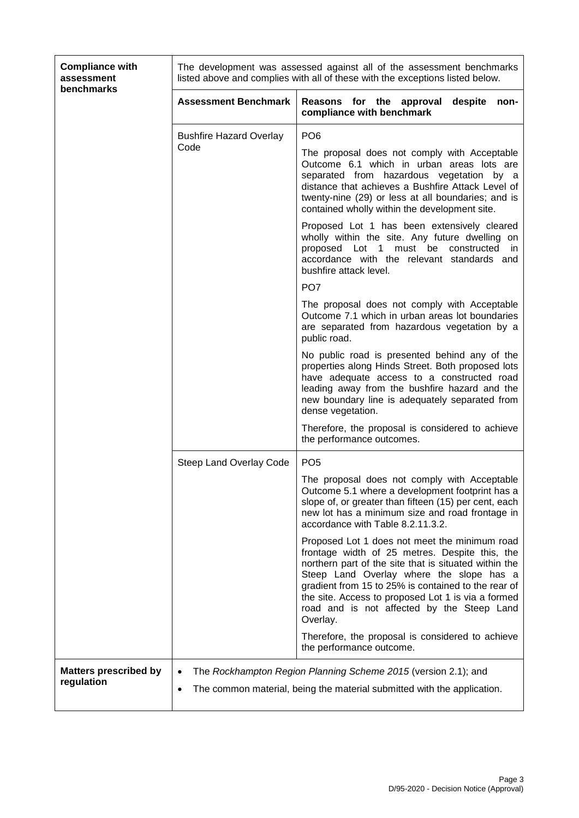| <b>Compliance with</b><br>assessment<br>benchmarks |                                                                                                                                                        | The development was assessed against all of the assessment benchmarks<br>listed above and complies with all of these with the exceptions listed below.                                                                                                                                                                                                                      |  |  |
|----------------------------------------------------|--------------------------------------------------------------------------------------------------------------------------------------------------------|-----------------------------------------------------------------------------------------------------------------------------------------------------------------------------------------------------------------------------------------------------------------------------------------------------------------------------------------------------------------------------|--|--|
|                                                    | <b>Assessment Benchmark</b>                                                                                                                            | Reasons for the approval<br>despite<br>non-<br>compliance with benchmark                                                                                                                                                                                                                                                                                                    |  |  |
|                                                    | <b>Bushfire Hazard Overlay</b>                                                                                                                         | PO <sub>6</sub>                                                                                                                                                                                                                                                                                                                                                             |  |  |
|                                                    | Code                                                                                                                                                   | The proposal does not comply with Acceptable<br>Outcome 6.1 which in urban areas lots are<br>separated from hazardous vegetation by a<br>distance that achieves a Bushfire Attack Level of<br>twenty-nine (29) or less at all boundaries; and is<br>contained wholly within the development site.                                                                           |  |  |
|                                                    |                                                                                                                                                        | Proposed Lot 1 has been extensively cleared<br>wholly within the site. Any future dwelling on<br>proposed Lot 1 must be constructed<br>- in<br>accordance with the relevant standards and<br>bushfire attack level.                                                                                                                                                         |  |  |
|                                                    |                                                                                                                                                        | PO <sub>7</sub>                                                                                                                                                                                                                                                                                                                                                             |  |  |
|                                                    |                                                                                                                                                        | The proposal does not comply with Acceptable<br>Outcome 7.1 which in urban areas lot boundaries<br>are separated from hazardous vegetation by a<br>public road.                                                                                                                                                                                                             |  |  |
|                                                    |                                                                                                                                                        | No public road is presented behind any of the<br>properties along Hinds Street. Both proposed lots<br>have adequate access to a constructed road<br>leading away from the bushfire hazard and the<br>new boundary line is adequately separated from<br>dense vegetation.                                                                                                    |  |  |
|                                                    |                                                                                                                                                        | Therefore, the proposal is considered to achieve<br>the performance outcomes.                                                                                                                                                                                                                                                                                               |  |  |
|                                                    | Steep Land Overlay Code                                                                                                                                | PO <sub>5</sub>                                                                                                                                                                                                                                                                                                                                                             |  |  |
|                                                    |                                                                                                                                                        | The proposal does not comply with Acceptable<br>Outcome 5.1 where a development footprint has a<br>slope of, or greater than fifteen (15) per cent, each<br>new lot has a minimum size and road frontage in<br>accordance with Table 8.2.11.3.2.                                                                                                                            |  |  |
|                                                    |                                                                                                                                                        | Proposed Lot 1 does not meet the minimum road<br>frontage width of 25 metres. Despite this, the<br>northern part of the site that is situated within the<br>Steep Land Overlay where the slope has a<br>gradient from 15 to 25% is contained to the rear of<br>the site. Access to proposed Lot 1 is via a formed<br>road and is not affected by the Steep Land<br>Overlay. |  |  |
|                                                    |                                                                                                                                                        | Therefore, the proposal is considered to achieve<br>the performance outcome.                                                                                                                                                                                                                                                                                                |  |  |
| <b>Matters prescribed by</b><br>regulation         | The Rockhampton Region Planning Scheme 2015 (version 2.1); and<br>The common material, being the material submitted with the application.<br>$\bullet$ |                                                                                                                                                                                                                                                                                                                                                                             |  |  |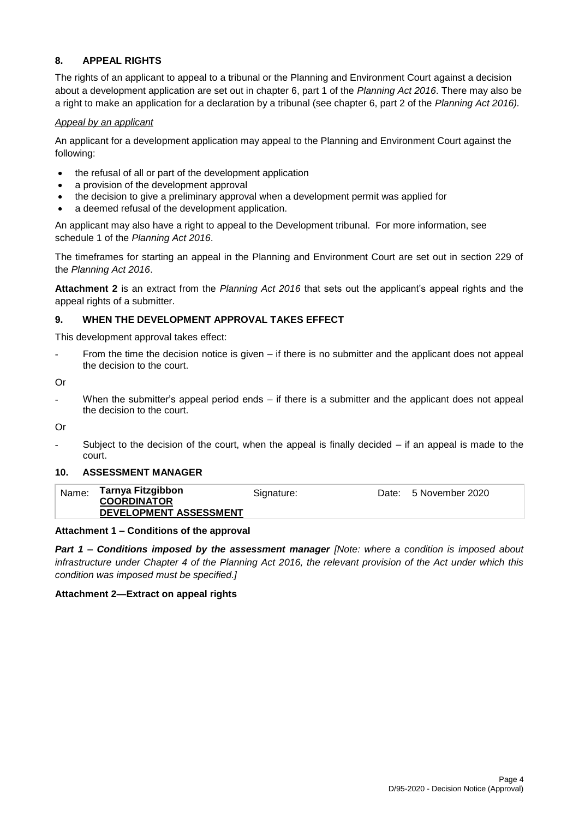## **8. APPEAL RIGHTS**

The rights of an applicant to appeal to a tribunal or the Planning and Environment Court against a decision about a development application are set out in chapter 6, part 1 of the *Planning Act 2016*. There may also be a right to make an application for a declaration by a tribunal (see chapter 6, part 2 of the *Planning Act 2016).*

### *Appeal by an applicant*

An applicant for a development application may appeal to the Planning and Environment Court against the following:

- the refusal of all or part of the development application
- a provision of the development approval
- the decision to give a preliminary approval when a development permit was applied for
- a deemed refusal of the development application.

An applicant may also have a right to appeal to the Development tribunal. For more information, see schedule 1 of the *Planning Act 2016*.

The timeframes for starting an appeal in the Planning and Environment Court are set out in section 229 of the *Planning Act 2016*.

**Attachment 2** is an extract from the *Planning Act 2016* that sets out the applicant's appeal rights and the appeal rights of a submitter.

## **9. WHEN THE DEVELOPMENT APPROVAL TAKES EFFECT**

This development approval takes effect:

From the time the decision notice is given  $-$  if there is no submitter and the applicant does not appeal the decision to the court.

Or

When the submitter's appeal period ends  $-$  if there is a submitter and the applicant does not appeal the decision to the court.

Or

Subject to the decision of the court, when the appeal is finally decided  $-$  if an appeal is made to the court.

### **10. ASSESSMENT MANAGER**

|--|

### **Attachment 1 – Conditions of the approval**

*Part 1* **–** *Conditions imposed by the assessment manager [Note: where a condition is imposed about infrastructure under Chapter 4 of the Planning Act 2016, the relevant provision of the Act under which this condition was imposed must be specified.]*

#### **Attachment 2—Extract on appeal rights**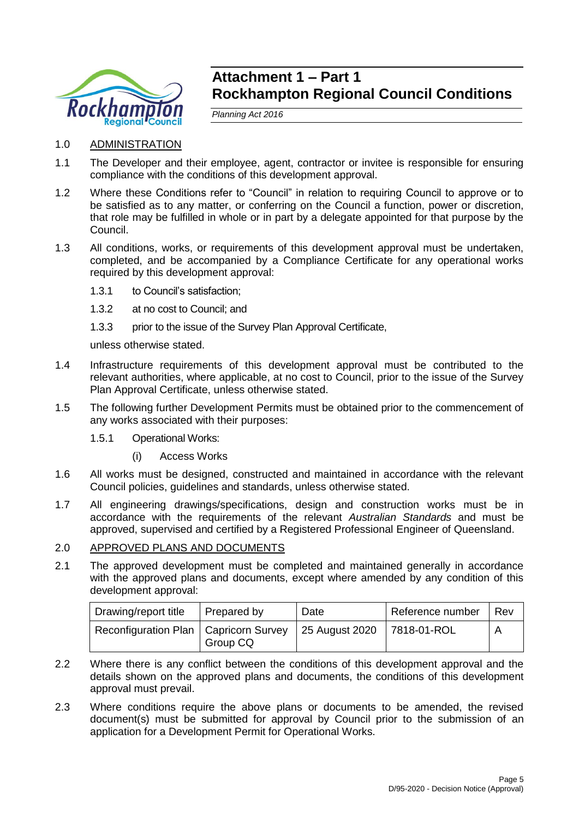

## **Attachment 1 – Part 1 Rockhampton Regional Council Conditions**

*Planning Act 2016*

- 1.0 ADMINISTRATION
- 1.1 The Developer and their employee, agent, contractor or invitee is responsible for ensuring compliance with the conditions of this development approval.
- 1.2 Where these Conditions refer to "Council" in relation to requiring Council to approve or to be satisfied as to any matter, or conferring on the Council a function, power or discretion, that role may be fulfilled in whole or in part by a delegate appointed for that purpose by the Council.
- 1.3 All conditions, works, or requirements of this development approval must be undertaken, completed, and be accompanied by a Compliance Certificate for any operational works required by this development approval:
	- 1.3.1 to Council's satisfaction;
	- 1.3.2 at no cost to Council; and
	- 1.3.3 prior to the issue of the Survey Plan Approval Certificate,

unless otherwise stated.

- 1.4 Infrastructure requirements of this development approval must be contributed to the relevant authorities, where applicable, at no cost to Council, prior to the issue of the Survey Plan Approval Certificate, unless otherwise stated.
- 1.5 The following further Development Permits must be obtained prior to the commencement of any works associated with their purposes:
	- 1.5.1 Operational Works:
		- (i) Access Works
- 1.6 All works must be designed, constructed and maintained in accordance with the relevant Council policies, guidelines and standards, unless otherwise stated.
- 1.7 All engineering drawings/specifications, design and construction works must be in accordance with the requirements of the relevant *Australian Standards* and must be approved, supervised and certified by a Registered Professional Engineer of Queensland.

## 2.0 APPROVED PLANS AND DOCUMENTS

2.1 The approved development must be completed and maintained generally in accordance with the approved plans and documents, except where amended by any condition of this development approval:

| Drawing/report title                                                   | Prepared by | Date | I Reference number | Rev |
|------------------------------------------------------------------------|-------------|------|--------------------|-----|
| Reconfiguration Plan   Capricorn Survey   25 August 2020   7818-01-ROL | Group CQ    |      |                    |     |

- 2.2 Where there is any conflict between the conditions of this development approval and the details shown on the approved plans and documents, the conditions of this development approval must prevail.
- 2.3 Where conditions require the above plans or documents to be amended, the revised document(s) must be submitted for approval by Council prior to the submission of an application for a Development Permit for Operational Works.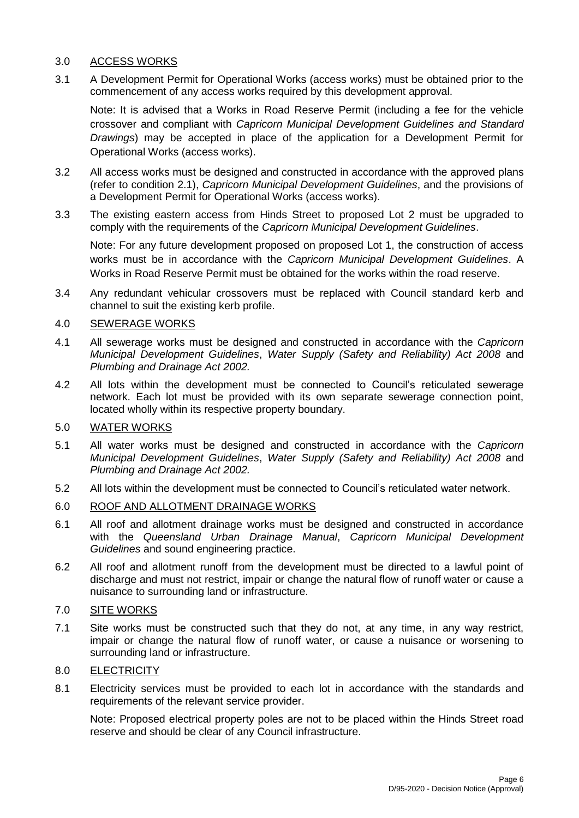## 3.0 ACCESS WORKS

3.1 A Development Permit for Operational Works (access works) must be obtained prior to the commencement of any access works required by this development approval.

Note: It is advised that a Works in Road Reserve Permit (including a fee for the vehicle crossover and compliant with *Capricorn Municipal Development Guidelines and Standard Drawings*) may be accepted in place of the application for a Development Permit for Operational Works (access works).

- 3.2 All access works must be designed and constructed in accordance with the approved plans (refer to condition 2.1), *Capricorn Municipal Development Guidelines*, and the provisions of a Development Permit for Operational Works (access works).
- 3.3 The existing eastern access from Hinds Street to proposed Lot 2 must be upgraded to comply with the requirements of the *Capricorn Municipal Development Guidelines*.

Note: For any future development proposed on proposed Lot 1, the construction of access works must be in accordance with the *Capricorn Municipal Development Guidelines*. A Works in Road Reserve Permit must be obtained for the works within the road reserve.

3.4 Any redundant vehicular crossovers must be replaced with Council standard kerb and channel to suit the existing kerb profile.

## 4.0 SEWERAGE WORKS

- 4.1 All sewerage works must be designed and constructed in accordance with the *Capricorn Municipal Development Guidelines*, *Water Supply (Safety and Reliability) Act 2008* and *Plumbing and Drainage Act 2002.*
- 4.2 All lots within the development must be connected to Council's reticulated sewerage network. Each lot must be provided with its own separate sewerage connection point, located wholly within its respective property boundary.

## 5.0 WATER WORKS

- 5.1 All water works must be designed and constructed in accordance with the *Capricorn Municipal Development Guidelines*, *Water Supply (Safety and Reliability) Act 2008* and *Plumbing and Drainage Act 2002.*
- 5.2 All lots within the development must be connected to Council's reticulated water network.

## 6.0 ROOF AND ALLOTMENT DRAINAGE WORKS

- 6.1 All roof and allotment drainage works must be designed and constructed in accordance with the *Queensland Urban Drainage Manual*, *Capricorn Municipal Development Guidelines* and sound engineering practice.
- 6.2 All roof and allotment runoff from the development must be directed to a lawful point of discharge and must not restrict, impair or change the natural flow of runoff water or cause a nuisance to surrounding land or infrastructure.

## 7.0 SITE WORKS

7.1 Site works must be constructed such that they do not, at any time, in any way restrict, impair or change the natural flow of runoff water, or cause a nuisance or worsening to surrounding land or infrastructure.

## 8.0 ELECTRICITY

8.1 Electricity services must be provided to each lot in accordance with the standards and requirements of the relevant service provider.

Note: Proposed electrical property poles are not to be placed within the Hinds Street road reserve and should be clear of any Council infrastructure.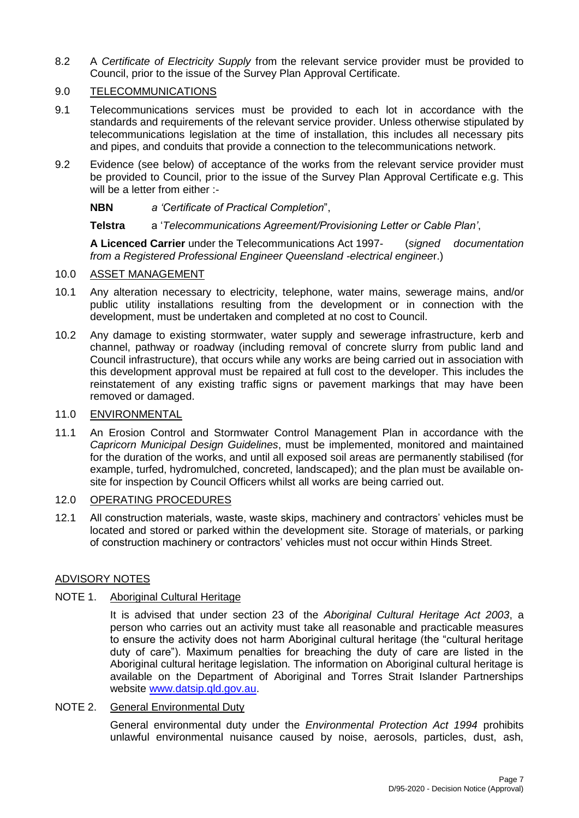8.2 A *Certificate of Electricity Supply* from the relevant service provider must be provided to Council, prior to the issue of the Survey Plan Approval Certificate.

## 9.0 TELECOMMUNICATIONS

- 9.1 Telecommunications services must be provided to each lot in accordance with the standards and requirements of the relevant service provider. Unless otherwise stipulated by telecommunications legislation at the time of installation, this includes all necessary pits and pipes, and conduits that provide a connection to the telecommunications network.
- 9.2 Evidence (see below) of acceptance of the works from the relevant service provider must be provided to Council, prior to the issue of the Survey Plan Approval Certificate e.g. This will be a letter from either :-
	- **NBN** *a 'Certificate of Practical Completion*",

**Telstra** a '*Telecommunications Agreement/Provisioning Letter or Cable Plan'*,

**A Licenced Carrier** under the Telecommunications Act 1997- (*signed documentation from a Registered Professional Engineer Queensland -electrical enginee*r.)

## 10.0 ASSET MANAGEMENT

- 10.1 Any alteration necessary to electricity, telephone, water mains, sewerage mains, and/or public utility installations resulting from the development or in connection with the development, must be undertaken and completed at no cost to Council.
- 10.2 Any damage to existing stormwater, water supply and sewerage infrastructure, kerb and channel, pathway or roadway (including removal of concrete slurry from public land and Council infrastructure), that occurs while any works are being carried out in association with this development approval must be repaired at full cost to the developer. This includes the reinstatement of any existing traffic signs or pavement markings that may have been removed or damaged.

## 11.0 ENVIRONMENTAL

11.1 An Erosion Control and Stormwater Control Management Plan in accordance with the *Capricorn Municipal Design Guidelines*, must be implemented, monitored and maintained for the duration of the works, and until all exposed soil areas are permanently stabilised (for example, turfed, hydromulched, concreted, landscaped); and the plan must be available onsite for inspection by Council Officers whilst all works are being carried out.

### 12.0 OPERATING PROCEDURES

12.1 All construction materials, waste, waste skips, machinery and contractors' vehicles must be located and stored or parked within the development site. Storage of materials, or parking of construction machinery or contractors' vehicles must not occur within Hinds Street.

### ADVISORY NOTES

### NOTE 1. Aboriginal Cultural Heritage

It is advised that under section 23 of the *Aboriginal Cultural Heritage Act 2003*, a person who carries out an activity must take all reasonable and practicable measures to ensure the activity does not harm Aboriginal cultural heritage (the "cultural heritage duty of care"). Maximum penalties for breaching the duty of care are listed in the Aboriginal cultural heritage legislation. The information on Aboriginal cultural heritage is available on the Department of Aboriginal and Torres Strait Islander Partnerships website [www.datsip.qld.gov.au.](http://www.datsip.qld.gov.au/)

## NOTE 2. General Environmental Duty

General environmental duty under the *Environmental Protection Act 1994* prohibits unlawful environmental nuisance caused by noise, aerosols, particles, dust, ash,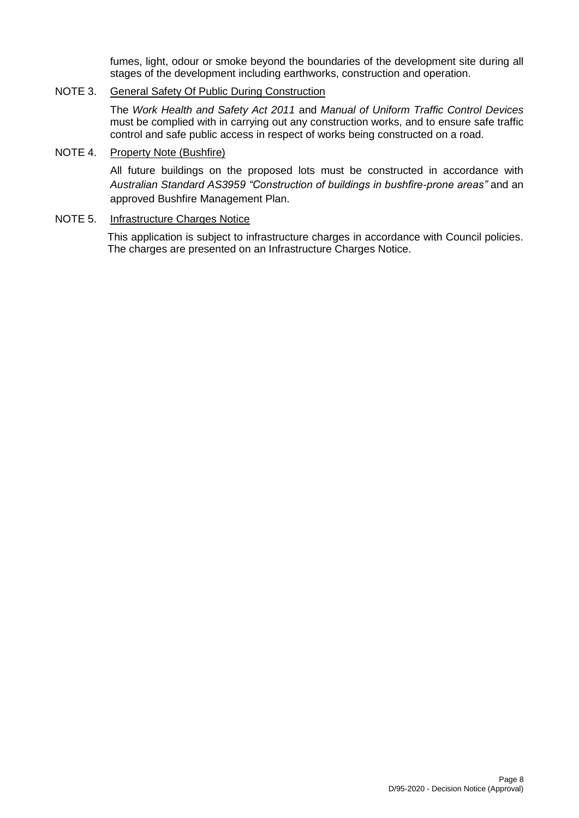fumes, light, odour or smoke beyond the boundaries of the development site during all stages of the development including earthworks, construction and operation.

## NOTE 3. General Safety Of Public During Construction

The *Work Health and Safety Act 2011* and *Manual of Uniform Traffic Control Devices* must be complied with in carrying out any construction works, and to ensure safe traffic control and safe public access in respect of works being constructed on a road.

### NOTE 4. Property Note (Bushfire)

All future buildings on the proposed lots must be constructed in accordance with *Australian Standard AS3959 "Construction of buildings in bushfire-prone areas"* and an approved Bushfire Management Plan.

## NOTE 5. Infrastructure Charges Notice

This application is subject to infrastructure charges in accordance with Council policies. The charges are presented on an Infrastructure Charges Notice.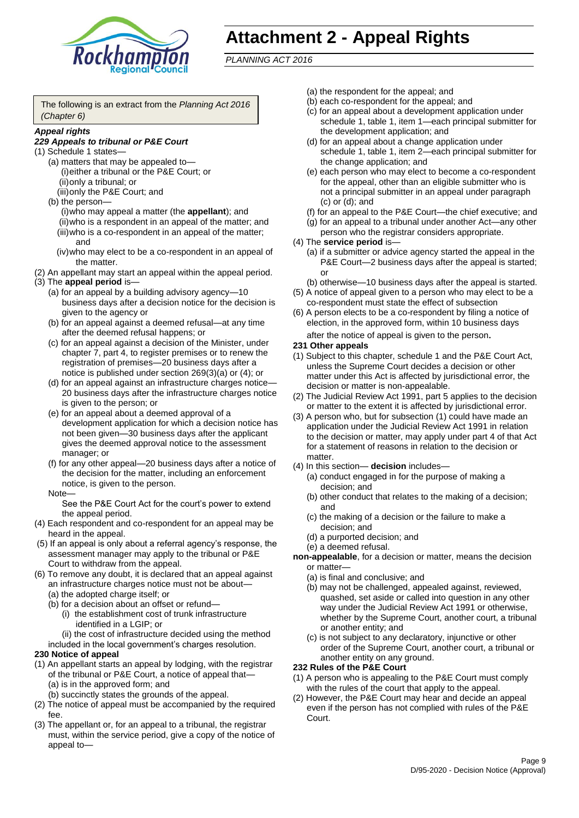

# **Attachment 2 - Appeal Rights**

*PLANNING ACT 2016*

The following is an extract from the *Planning Act 2016 (Chapter 6)*

#### *Appeal rights*

### *229 Appeals to tribunal or P&E Court*

- (1) Schedule 1 states—
	- (a) matters that may be appealed to— (i)either a tribunal or the P&E Court; or (ii)only a tribunal; or
	- (iii)only the P&E Court; and (b) the person—
		- (i)who may appeal a matter (the **appellant**); and (ii)who is a respondent in an appeal of the matter; and (iii)who is a co-respondent in an appeal of the matter; and
		- (iv)who may elect to be a co-respondent in an appeal of the matter.
- (2) An appellant may start an appeal within the appeal period.
- (3) The **appeal period** is—
	- (a) for an appeal by a building advisory agency—10 business days after a decision notice for the decision is given to the agency or
	- (b) for an appeal against a deemed refusal—at any time after the deemed refusal happens; or
	- (c) for an appeal against a decision of the Minister, under chapter 7, part 4, to register premises or to renew the registration of premises—20 business days after a notice is published under section 269(3)(a) or (4); or
	- (d) for an appeal against an infrastructure charges notice— 20 business days after the infrastructure charges notice is given to the person; or
	- (e) for an appeal about a deemed approval of a development application for which a decision notice has not been given—30 business days after the applicant gives the deemed approval notice to the assessment manager; or
	- (f) for any other appeal—20 business days after a notice of the decision for the matter, including an enforcement notice, is given to the person.

#### Note—

See the P&E Court Act for the court's power to extend the appeal period.

- (4) Each respondent and co-respondent for an appeal may be heard in the appeal.
- (5) If an appeal is only about a referral agency's response, the assessment manager may apply to the tribunal or P&E Court to withdraw from the appeal.
- (6) To remove any doubt, it is declared that an appeal against an infrastructure charges notice must not be about—
	- (a) the adopted charge itself; or
	- (b) for a decision about an offset or refund—
		- (i) the establishment cost of trunk infrastructure identified in a LGIP; or
		- (ii) the cost of infrastructure decided using the method
	- included in the local government's charges resolution.

### **230 Notice of appeal**

- (1) An appellant starts an appeal by lodging, with the registrar of the tribunal or P&E Court, a notice of appeal that—
	- (a) is in the approved form; and
	- (b) succinctly states the grounds of the appeal.
- (2) The notice of appeal must be accompanied by the required fee.
- (3) The appellant or, for an appeal to a tribunal, the registrar must, within the service period, give a copy of the notice of appeal to—
- (a) the respondent for the appeal; and
- (b) each co-respondent for the appeal; and
- (c) for an appeal about a development application under schedule 1, table 1, item 1—each principal submitter for the development application; and
- (d) for an appeal about a change application under schedule 1, table 1, item 2—each principal submitter for the change application; and
- (e) each person who may elect to become a co-respondent for the appeal, other than an eligible submitter who is not a principal submitter in an appeal under paragraph (c) or (d); and
- (f) for an appeal to the P&E Court—the chief executive; and
- (g) for an appeal to a tribunal under another Act—any other person who the registrar considers appropriate.
- (4) The **service period** is—
	- (a) if a submitter or advice agency started the appeal in the P&E Court—2 business days after the appeal is started; or
	- (b) otherwise—10 business days after the appeal is started.
- (5) A notice of appeal given to a person who may elect to be a co-respondent must state the effect of subsection
- (6) A person elects to be a co-respondent by filing a notice of election, in the approved form, within 10 business days after the notice of appeal is given to the person*.*
- **231 Other appeals**
- (1) Subject to this chapter, schedule 1 and the P&E Court Act, unless the Supreme Court decides a decision or other matter under this Act is affected by jurisdictional error, the decision or matter is non-appealable.
- (2) The Judicial Review Act 1991, part 5 applies to the decision or matter to the extent it is affected by jurisdictional error.
- (3) A person who, but for subsection (1) could have made an application under the Judicial Review Act 1991 in relation to the decision or matter, may apply under part 4 of that Act for a statement of reasons in relation to the decision or matter.
- (4) In this section— **decision** includes—
	- (a) conduct engaged in for the purpose of making a decision; and
	- (b) other conduct that relates to the making of a decision; and
	- (c) the making of a decision or the failure to make a decision; and
	- (d) a purported decision; and
	- (e) a deemed refusal.

**non-appealable**, for a decision or matter, means the decision or matter—

- (a) is final and conclusive; and
- (b) may not be challenged, appealed against, reviewed, quashed, set aside or called into question in any other way under the Judicial Review Act 1991 or otherwise, whether by the Supreme Court, another court, a tribunal or another entity; and
- (c) is not subject to any declaratory, injunctive or other order of the Supreme Court, another court, a tribunal or another entity on any ground.

#### **232 Rules of the P&E Court**

- (1) A person who is appealing to the P&E Court must comply with the rules of the court that apply to the appeal.
- (2) However, the P&E Court may hear and decide an appeal even if the person has not complied with rules of the P&E Court.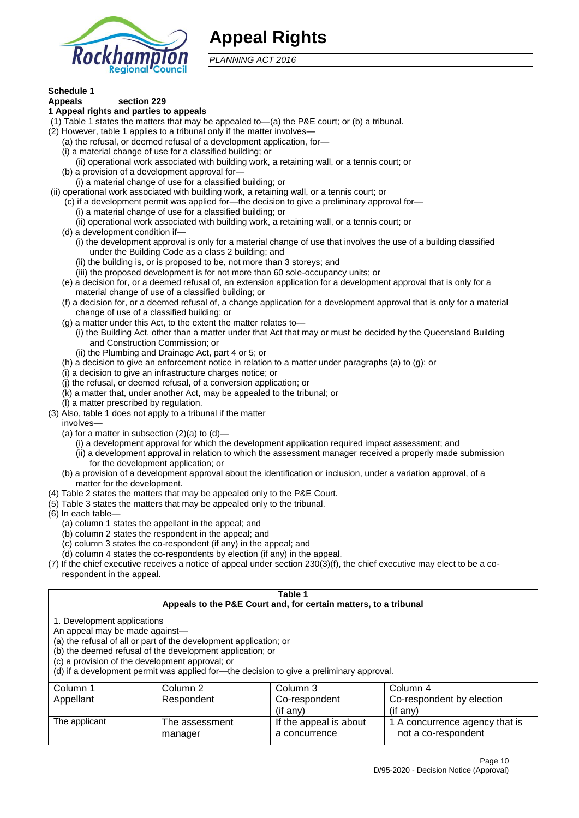

# **Appeal Rights**

*PLANNING ACT 2016*

# **Schedule 1**

#### **Appeals section 229 1 Appeal rights and parties to appeals**

- (1) Table 1 states the matters that may be appealed to—(a) the P&E court; or (b) a tribunal.
- (2) However, table 1 applies to a tribunal only if the matter involves—
	- (a) the refusal, or deemed refusal of a development application, for—
	- (i) a material change of use for a classified building; or
	- (ii) operational work associated with building work, a retaining wall, or a tennis court; or
	- (b) a provision of a development approval for—
	- (i) a material change of use for a classified building; or
- (ii) operational work associated with building work, a retaining wall, or a tennis court; or
	- (c) if a development permit was applied for—the decision to give a preliminary approval for—
		- (i) a material change of use for a classified building; or
	- (ii) operational work associated with building work, a retaining wall, or a tennis court; or
	- (d) a development condition if—
		- (i) the development approval is only for a material change of use that involves the use of a building classified under the Building Code as a class 2 building; and
		- (ii) the building is, or is proposed to be, not more than 3 storeys; and
		- (iii) the proposed development is for not more than 60 sole-occupancy units; or
	- (e) a decision for, or a deemed refusal of, an extension application for a development approval that is only for a material change of use of a classified building; or
	- (f) a decision for, or a deemed refusal of, a change application for a development approval that is only for a material change of use of a classified building; or
	- (g) a matter under this Act, to the extent the matter relates to—
		- (i) the Building Act, other than a matter under that Act that may or must be decided by the Queensland Building and Construction Commission; or
		- (ii) the Plumbing and Drainage Act, part 4 or 5; or
	- (h) a decision to give an enforcement notice in relation to a matter under paragraphs (a) to (g); or
	- (i) a decision to give an infrastructure charges notice; or
	- (j) the refusal, or deemed refusal, of a conversion application; or
	- (k) a matter that, under another Act, may be appealed to the tribunal; or
	- (l) a matter prescribed by regulation.
- (3) Also, table 1 does not apply to a tribunal if the matter

involves—

- (a) for a matter in subsection  $(2)(a)$  to  $(d)$ 
	- (i) a development approval for which the development application required impact assessment; and
	- (ii) a development approval in relation to which the assessment manager received a properly made submission for the development application; or
- (b) a provision of a development approval about the identification or inclusion, under a variation approval, of a matter for the development.
- (4) Table 2 states the matters that may be appealed only to the P&E Court.
- (5) Table 3 states the matters that may be appealed only to the tribunal.
- (6) In each table—
	- (a) column 1 states the appellant in the appeal; and
	- (b) column 2 states the respondent in the appeal; and
	- (c) column 3 states the co-respondent (if any) in the appeal; and
	- (d) column 4 states the co-respondents by election (if any) in the appeal.
- (7) If the chief executive receives a notice of appeal under section 230(3)(f), the chief executive may elect to be a corespondent in the appeal.

| Table 1<br>Appeals to the P&E Court and, for certain matters, to a tribunal                                                                                                                                                                                                                                                                    |                |                        |                                |  |
|------------------------------------------------------------------------------------------------------------------------------------------------------------------------------------------------------------------------------------------------------------------------------------------------------------------------------------------------|----------------|------------------------|--------------------------------|--|
| 1. Development applications<br>An appeal may be made against-<br>(a) the refusal of all or part of the development application; or<br>(b) the deemed refusal of the development application; or<br>(c) a provision of the development approval; or<br>(d) if a development permit was applied for-the decision to give a preliminary approval. |                |                        |                                |  |
| Column 1                                                                                                                                                                                                                                                                                                                                       | Column 2       | Column 3               | Column 4                       |  |
| Appellant                                                                                                                                                                                                                                                                                                                                      | Respondent     | Co-respondent          | Co-respondent by election      |  |
| (if any)<br>$($ if any $)$                                                                                                                                                                                                                                                                                                                     |                |                        |                                |  |
| The applicant                                                                                                                                                                                                                                                                                                                                  | The assessment | If the appeal is about | 1 A concurrence agency that is |  |
|                                                                                                                                                                                                                                                                                                                                                | manager        | a concurrence          | not a co-respondent            |  |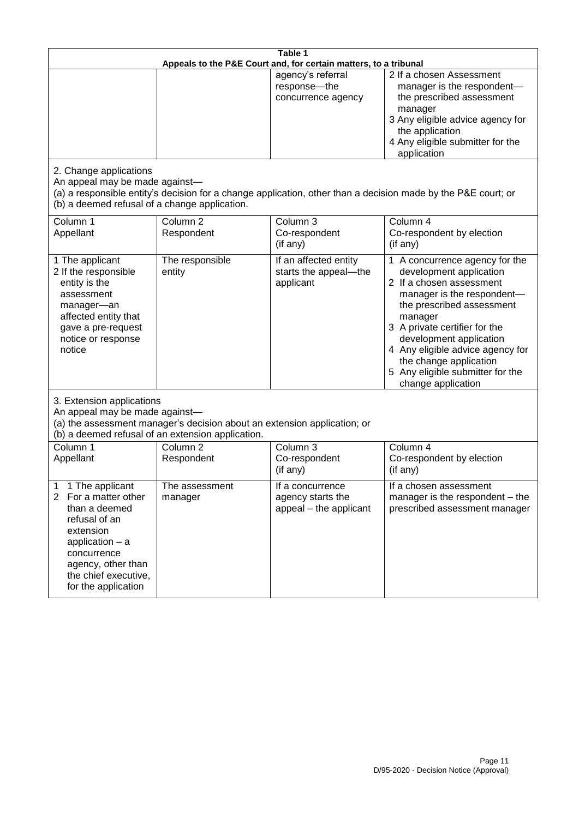| Table 1<br>Appeals to the P&E Court and, for certain matters, to a tribunal                                                                                                                                          |                                                                                                                               |                                                                 |                                                                                                                                                                                                                                                                                                                                                 |
|----------------------------------------------------------------------------------------------------------------------------------------------------------------------------------------------------------------------|-------------------------------------------------------------------------------------------------------------------------------|-----------------------------------------------------------------|-------------------------------------------------------------------------------------------------------------------------------------------------------------------------------------------------------------------------------------------------------------------------------------------------------------------------------------------------|
|                                                                                                                                                                                                                      |                                                                                                                               | agency's referral<br>response-the<br>concurrence agency         | 2 If a chosen Assessment<br>manager is the respondent-<br>the prescribed assessment<br>manager<br>3 Any eligible advice agency for<br>the application<br>4 Any eligible submitter for the<br>application                                                                                                                                        |
| 2. Change applications<br>An appeal may be made against-<br>(b) a deemed refusal of a change application.                                                                                                            |                                                                                                                               |                                                                 | (a) a responsible entity's decision for a change application, other than a decision made by the P&E court; or                                                                                                                                                                                                                                   |
| Column 1<br>Appellant                                                                                                                                                                                                | Column <sub>2</sub><br>Respondent                                                                                             | Column 3<br>Co-respondent<br>(if any)                           | Column 4<br>Co-respondent by election<br>(if any)                                                                                                                                                                                                                                                                                               |
| 1 The applicant<br>2 If the responsible<br>entity is the<br>assessment<br>manager-an<br>affected entity that<br>gave a pre-request<br>notice or response<br>notice                                                   | The responsible<br>entity                                                                                                     | If an affected entity<br>starts the appeal-the<br>applicant     | 1 A concurrence agency for the<br>development application<br>2 If a chosen assessment<br>manager is the respondent-<br>the prescribed assessment<br>manager<br>3 A private certifier for the<br>development application<br>4 Any eligible advice agency for<br>the change application<br>5 Any eligible submitter for the<br>change application |
| 3. Extension applications<br>An appeal may be made against-                                                                                                                                                          | (a) the assessment manager's decision about an extension application; or<br>(b) a deemed refusal of an extension application. |                                                                 |                                                                                                                                                                                                                                                                                                                                                 |
| Column 1<br>Appellant                                                                                                                                                                                                | Column <sub>2</sub><br>Respondent                                                                                             | Column 3<br>Co-respondent<br>(if any)                           | Column 4<br>Co-respondent by election<br>(if any)                                                                                                                                                                                                                                                                                               |
| 1 The applicant<br>1<br>$\overline{2}$<br>For a matter other<br>than a deemed<br>refusal of an<br>extension<br>application $-$ a<br>concurrence<br>agency, other than<br>the chief executive,<br>for the application | The assessment<br>manager                                                                                                     | If a concurrence<br>agency starts the<br>appeal - the applicant | If a chosen assessment<br>manager is the respondent – the<br>prescribed assessment manager                                                                                                                                                                                                                                                      |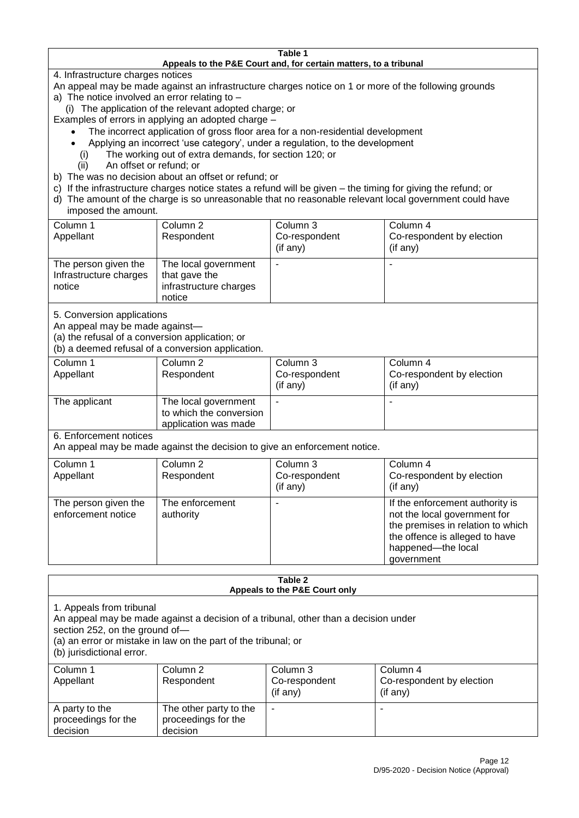#### **Table 1 Appeals to the P&E Court and, for certain matters, to a tribunal**

4. Infrastructure charges notices

- An appeal may be made against an infrastructure charges notice on 1 or more of the following grounds
- a) The notice involved an error relating to
	- (i) The application of the relevant adopted charge; or
- Examples of errors in applying an adopted charge
	- The incorrect application of gross floor area for a non-residential development
	- Applying an incorrect 'use category', under a regulation, to the development
	- (i) The working out of extra demands, for section 120; or
	- (ii) An offset or refund; or
- b) The was no decision about an offset or refund; or
- c) If the infrastructure charges notice states a refund will be given the timing for giving the refund; or
- d) The amount of the charge is so unreasonable that no reasonable relevant local government could have

## imposed the amount.

| Column 1<br>Appellant                                    | Column 2<br>Respondent                                                    | Column 3<br>Co-respondent<br>(if any) | Column 4<br>Co-respondent by election<br>$($ if any $)$ |
|----------------------------------------------------------|---------------------------------------------------------------------------|---------------------------------------|---------------------------------------------------------|
| The person given the<br>Infrastructure charges<br>notice | The local government<br>that gave the<br>infrastructure charges<br>notice | -                                     |                                                         |

5. Conversion applications

An appeal may be made against—

(a) the refusal of a conversion application; or

(b) a deemed refusal of a conversion application.

| Column 1      | Column 2                | Column 3       | Column 4                  |
|---------------|-------------------------|----------------|---------------------------|
| Appellant     | Respondent              | Co-respondent  | Co-respondent by election |
|               |                         | $($ if any $)$ | $($ if any $)$            |
| The applicant | The local government    |                |                           |
|               | to which the conversion |                |                           |
|               | application was made    |                |                           |

6. Enforcement notices

An appeal may be made against the decision to give an enforcement notice.

| Column 1<br>Appellant                      | Column 2<br>Respondent       | Column 3<br>Co-respondent<br>(if any) | Column 4<br>Co-respondent by election<br>(if any)                                                                                                                          |
|--------------------------------------------|------------------------------|---------------------------------------|----------------------------------------------------------------------------------------------------------------------------------------------------------------------------|
| The person given the<br>enforcement notice | The enforcement<br>authority |                                       | If the enforcement authority is<br>not the local government for<br>the premises in relation to which<br>the offence is alleged to have<br>happened-the local<br>government |

#### **Table 2 Appeals to the P&E Court only**

1. Appeals from tribunal

An appeal may be made against a decision of a tribunal, other than a decision under

section 252, on the ground of—

(a) an error or mistake in law on the part of the tribunal; or

(b) jurisdictional error.

| Column 1<br>Appellant                             | Column 2<br>Respondent                                    | Column 3<br>Co-respondent<br>$($ if any $)$ | Column 4<br>Co-respondent by election<br>(if any) |
|---------------------------------------------------|-----------------------------------------------------------|---------------------------------------------|---------------------------------------------------|
| A party to the<br>proceedings for the<br>decision | The other party to the<br>proceedings for the<br>decision | ۰                                           |                                                   |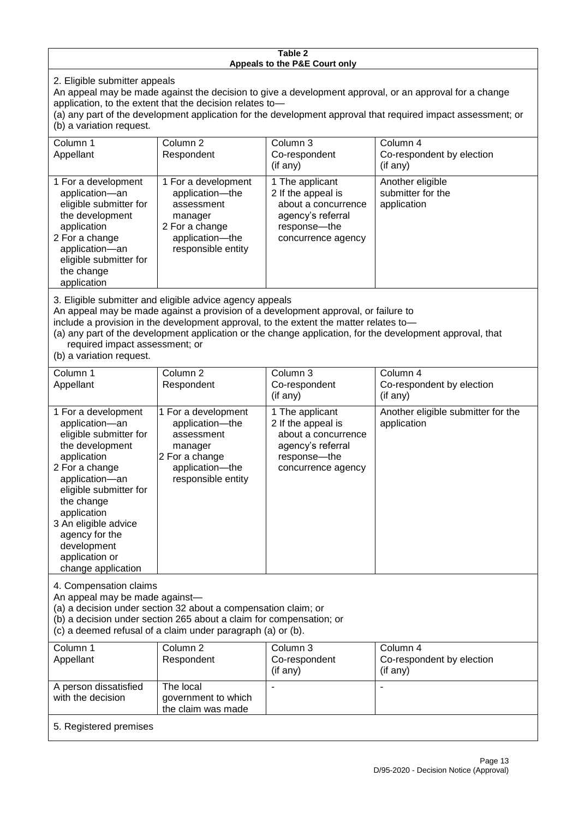#### **Table 2 Appeals to the P&E Court only**

2. Eligible submitter appeals

An appeal may be made against the decision to give a development approval, or an approval for a change application, to the extent that the decision relates to—

(a) any part of the development application for the development approval that required impact assessment; or (b) a variation request.

| Column 1                                                                                                                                                                                                                                                                                                                                                                                                           | Column <sub>2</sub>                                                                                                        | Column 3                                                                                                                  | Column 4                                             |
|--------------------------------------------------------------------------------------------------------------------------------------------------------------------------------------------------------------------------------------------------------------------------------------------------------------------------------------------------------------------------------------------------------------------|----------------------------------------------------------------------------------------------------------------------------|---------------------------------------------------------------------------------------------------------------------------|------------------------------------------------------|
| Appellant                                                                                                                                                                                                                                                                                                                                                                                                          | Respondent                                                                                                                 | Co-respondent                                                                                                             | Co-respondent by election                            |
|                                                                                                                                                                                                                                                                                                                                                                                                                    |                                                                                                                            | (if any)                                                                                                                  | (if any)                                             |
| 1 For a development<br>application-an<br>eligible submitter for<br>the development<br>application<br>2 For a change<br>application-an<br>eligible submitter for<br>the change<br>application                                                                                                                                                                                                                       | 1 For a development<br>application-the<br>assessment<br>manager<br>2 For a change<br>application-the<br>responsible entity | 1 The applicant<br>2 If the appeal is<br>about a concurrence<br>agency's referral<br>response---the<br>concurrence agency | Another eligible<br>submitter for the<br>application |
| 3. Eligible submitter and eligible advice agency appeals<br>An appeal may be made against a provision of a development approval, or failure to<br>include a provision in the development approval, to the extent the matter relates to-<br>(a) any part of the development application or the change application, for the development approval, that<br>required impact assessment; or<br>(b) a variation request. |                                                                                                                            |                                                                                                                           |                                                      |
| Column 1                                                                                                                                                                                                                                                                                                                                                                                                           | Column <sub>2</sub>                                                                                                        | Column 3                                                                                                                  | Column 4                                             |
| Appellant                                                                                                                                                                                                                                                                                                                                                                                                          | Respondent                                                                                                                 | Co-respondent                                                                                                             | Co-respondent by election                            |
|                                                                                                                                                                                                                                                                                                                                                                                                                    |                                                                                                                            | (if any)                                                                                                                  | (if any)                                             |
| 1 For a development                                                                                                                                                                                                                                                                                                                                                                                                | 1 For a development                                                                                                        | 1 The applicant                                                                                                           | Another eligible submitter for the                   |

| 1 For a development    | 1 For a development | 1 The applicant     | Another eligible submitter for the |
|------------------------|---------------------|---------------------|------------------------------------|
| application-an         | application-the     | 2 If the appeal is  | application                        |
| eligible submitter for | assessment          | about a concurrence |                                    |
| the development        | manager             | agency's referral   |                                    |
| application            | 2 For a change      | response---the      |                                    |
| 2 For a change         | application-the     | concurrence agency  |                                    |
| application-an         | responsible entity  |                     |                                    |
| eligible submitter for |                     |                     |                                    |
| the change             |                     |                     |                                    |
| application            |                     |                     |                                    |
| 3 An eligible advice   |                     |                     |                                    |
| agency for the         |                     |                     |                                    |
| development            |                     |                     |                                    |
| application or         |                     |                     |                                    |
| change application     |                     |                     |                                    |

4. Compensation claims

An appeal may be made against—

(a) a decision under section 32 about a compensation claim; or

(b) a decision under section 265 about a claim for compensation; or

(c) a deemed refusal of a claim under paragraph (a) or (b).

| Column 1               | Column 2            | Column 3       | Column 4                  |
|------------------------|---------------------|----------------|---------------------------|
| Appellant              | Respondent          | Co-respondent  | Co-respondent by election |
|                        |                     | $($ if any $)$ | $($ if any $)$            |
| A person dissatisfied  | The local           |                |                           |
| with the decision      | government to which |                |                           |
|                        | the claim was made  |                |                           |
| 5. Registered premises |                     |                |                           |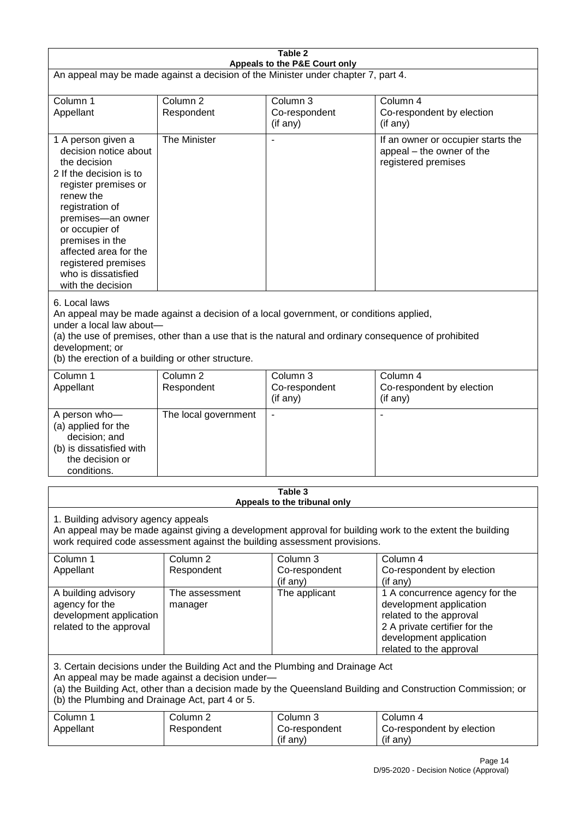| Table 2                                                                                                                                                                                                                                                                                                              |                                   |                                                                           |                                                                                                                                                                             |  |
|----------------------------------------------------------------------------------------------------------------------------------------------------------------------------------------------------------------------------------------------------------------------------------------------------------------------|-----------------------------------|---------------------------------------------------------------------------|-----------------------------------------------------------------------------------------------------------------------------------------------------------------------------|--|
| Appeals to the P&E Court only<br>An appeal may be made against a decision of the Minister under chapter 7, part 4.                                                                                                                                                                                                   |                                   |                                                                           |                                                                                                                                                                             |  |
| Column 1<br>Appellant                                                                                                                                                                                                                                                                                                | Column <sub>2</sub><br>Respondent | Column 3<br>Co-respondent<br>(if any)                                     | Column 4<br>Co-respondent by election<br>(if any)                                                                                                                           |  |
| 1 A person given a<br>decision notice about<br>the decision<br>2 If the decision is to<br>register premises or<br>renew the<br>registration of<br>premises-an owner<br>or occupier of<br>premises in the<br>affected area for the<br>registered premises<br>who is dissatisfied<br>with the decision                 | The Minister                      | $\overline{\phantom{a}}$                                                  | If an owner or occupier starts the<br>appeal – the owner of the<br>registered premises                                                                                      |  |
| 6. Local laws<br>An appeal may be made against a decision of a local government, or conditions applied,<br>under a local law about-<br>(a) the use of premises, other than a use that is the natural and ordinary consequence of prohibited<br>development; or<br>(b) the erection of a building or other structure. |                                   |                                                                           |                                                                                                                                                                             |  |
| Column 1<br>Appellant                                                                                                                                                                                                                                                                                                | Column <sub>2</sub><br>Respondent | Column 3<br>Co-respondent<br>(if any)                                     | Column 4<br>Co-respondent by election<br>(if any)                                                                                                                           |  |
| A person who-<br>(a) applied for the<br>decision; and<br>(b) is dissatisfied with<br>the decision or<br>conditions.                                                                                                                                                                                                  | The local government              | $\blacksquare$                                                            |                                                                                                                                                                             |  |
|                                                                                                                                                                                                                                                                                                                      |                                   | Table 3<br>Appeals to the tribunal only                                   |                                                                                                                                                                             |  |
| 1. Building advisory agency appeals                                                                                                                                                                                                                                                                                  |                                   | work required code assessment against the building assessment provisions. | An appeal may be made against giving a development approval for building work to the extent the building                                                                    |  |
| Column 1<br>Appellant                                                                                                                                                                                                                                                                                                | Column <sub>2</sub><br>Respondent | Column 3<br>Co-respondent<br>(if any)                                     | Column 4<br>Co-respondent by election<br>(if any)                                                                                                                           |  |
| A building advisory<br>agency for the<br>development application<br>related to the approval                                                                                                                                                                                                                          | The assessment<br>manager         | The applicant                                                             | 1 A concurrence agency for the<br>development application<br>related to the approval<br>2 A private certifier for the<br>development application<br>related to the approval |  |
| 3. Certain decisions under the Building Act and the Plumbing and Drainage Act<br>An appeal may be made against a decision under-<br>(a) the Building Act, other than a decision made by the Queensland Building and Construction Commission; or<br>(b) the Plumbing and Drainage Act, part 4 or 5.                   |                                   |                                                                           |                                                                                                                                                                             |  |
| Column 1<br>Appellant                                                                                                                                                                                                                                                                                                | Column <sub>2</sub><br>Respondent | Column 3<br>Co-respondent<br>(if any)                                     | Column 4<br>Co-respondent by election<br>(if any)                                                                                                                           |  |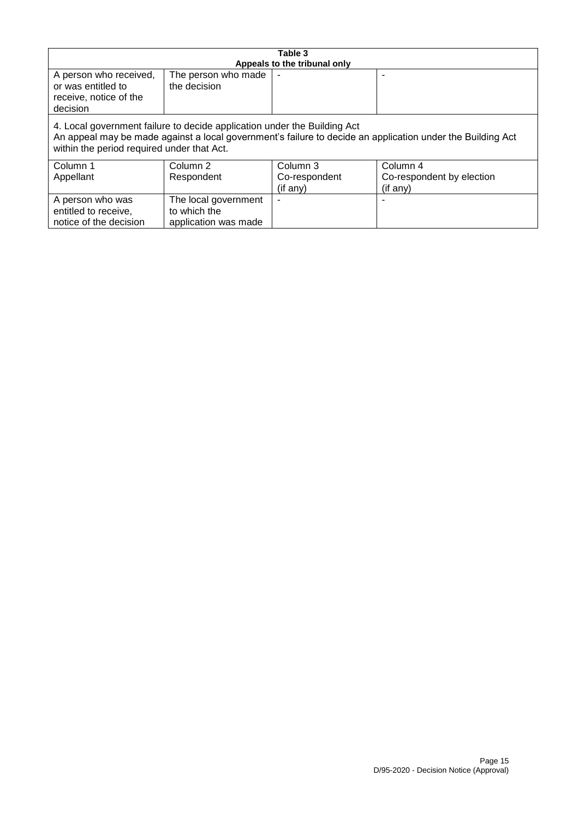| Table 3                                                                                                                                                                                                                              |                                                              |                                       |                                                   |
|--------------------------------------------------------------------------------------------------------------------------------------------------------------------------------------------------------------------------------------|--------------------------------------------------------------|---------------------------------------|---------------------------------------------------|
| A person who received,<br>or was entitled to<br>receive, notice of the<br>decision                                                                                                                                                   | The person who made<br>the decision                          | Appeals to the tribunal only          |                                                   |
| 4. Local government failure to decide application under the Building Act<br>An appeal may be made against a local government's failure to decide an application under the Building Act<br>within the period required under that Act. |                                                              |                                       |                                                   |
| Column 1<br>Appellant                                                                                                                                                                                                                | Column 2<br>Respondent                                       | Column 3<br>Co-respondent<br>(if any) | Column 4<br>Co-respondent by election<br>(if any) |
| A person who was<br>entitled to receive,<br>notice of the decision                                                                                                                                                                   | The local government<br>to which the<br>application was made |                                       |                                                   |